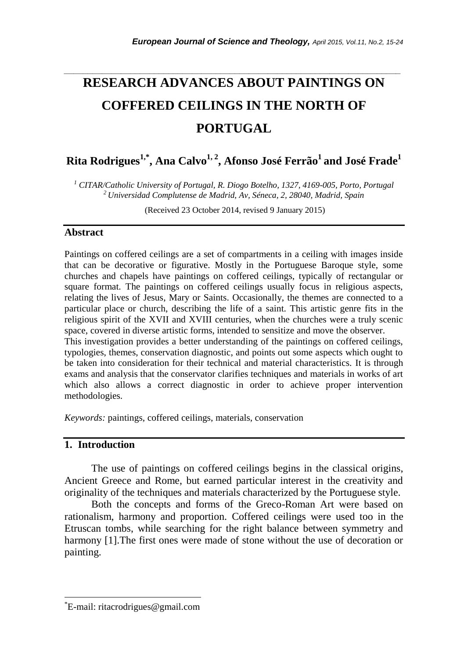# *\_\_\_\_\_\_\_\_\_\_\_\_\_\_\_\_\_\_\_\_\_\_\_\_\_\_\_\_\_\_\_\_\_\_\_\_\_\_\_\_\_\_\_\_\_\_\_\_\_\_\_\_\_\_\_\_\_\_\_\_\_\_\_\_\_\_\_\_\_\_\_* **RESEARCH ADVANCES ABOUT PAINTINGS ON COFFERED CEILINGS IN THE NORTH OF PORTUGAL**

# **Rita Rodrigues1,\* , Ana Calvo1, 2 , Afonso José Ferrão<sup>1</sup> and José Frade<sup>1</sup>**

*<sup>1</sup> CITAR/Catholic University of Portugal, R. Diogo Botelho, 1327, 4169-005, Porto, Portugal <sup>2</sup>Universidad Complutense de Madrid, Av, Séneca, 2, 28040, Madrid, Spain*

(Received 23 October 2014, revised 9 January 2015)

#### **Abstract**

Paintings on coffered ceilings are a set of compartments in a ceiling with images inside that can be decorative or figurative. Mostly in the Portuguese Baroque style, some churches and chapels have paintings on coffered ceilings, typically of rectangular or square format. The paintings on coffered ceilings usually focus in religious aspects, relating the lives of Jesus, Mary or Saints. Occasionally, the themes are connected to a particular place or church, describing the life of a saint. This artistic genre fits in the religious spirit of the XVII and XVIII centuries, when the churches were a truly scenic space, covered in diverse artistic forms, intended to sensitize and move the observer. This investigation provides a better understanding of the paintings on coffered ceilings, typologies, themes, conservation diagnostic, and points out some aspects which ought to be taken into consideration for their technical and material characteristics. It is through exams and analysis that the conservator clarifies techniques and materials in works of art which also allows a correct diagnostic in order to achieve proper intervention

*Keywords:* paintings, coffered ceilings, materials, conservation

# **1. Introduction**

l

methodologies.

The use of paintings on coffered ceilings begins in the classical origins, Ancient Greece and Rome, but earned particular interest in the creativity and originality of the techniques and materials characterized by the Portuguese style.

Both the concepts and forms of the Greco-Roman Art were based on rationalism, harmony and proportion. Coffered ceilings were used too in the Etruscan tombs, while searching for the right balance between symmetry and harmony [1].The first ones were made of stone without the use of decoration or painting.

<sup>\*</sup>E-mail: ritacrodrigues@gmail.com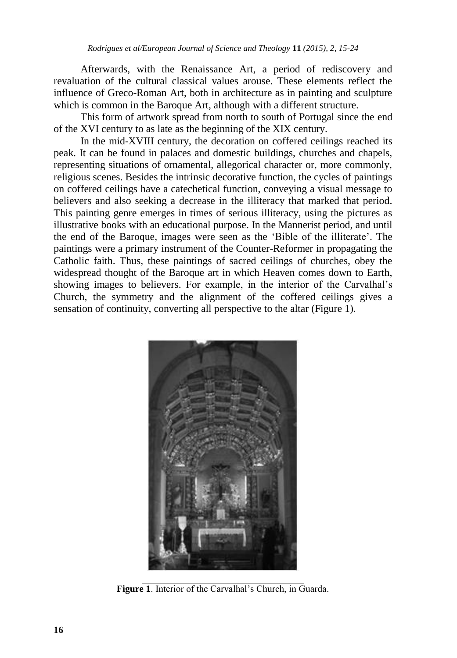Afterwards, with the Renaissance Art, a period of rediscovery and revaluation of the cultural classical values arouse. These elements reflect the influence of Greco-Roman Art, both in architecture as in painting and sculpture which is common in the Baroque Art, although with a different structure.

This form of artwork spread from north to south of Portugal since the end of the XVI century to as late as the beginning of the XIX century.

In the mid-XVIII century, the decoration on coffered ceilings reached its peak. It can be found in palaces and domestic buildings, churches and chapels, representing situations of ornamental, allegorical character or, more commonly, religious scenes. Besides the intrinsic decorative function, the cycles of paintings on coffered ceilings have a catechetical function, conveying a visual message to believers and also seeking a decrease in the illiteracy that marked that period. This painting genre emerges in times of serious illiteracy, using the pictures as illustrative books with an educational purpose. In the Mannerist period, and until the end of the Baroque, images were seen as the 'Bible of the illiterate'. The paintings were a primary instrument of the Counter-Reformer in propagating the Catholic faith. Thus, these paintings of sacred ceilings of churches, obey the widespread thought of the Baroque art in which Heaven comes down to Earth, showing images to believers. For example, in the interior of the Carvalhal's Church, the symmetry and the alignment of the coffered ceilings gives a sensation of continuity, converting all perspective to the altar (Figure 1).



**Figure 1**. Interior of the Carvalhal's Church, in Guarda.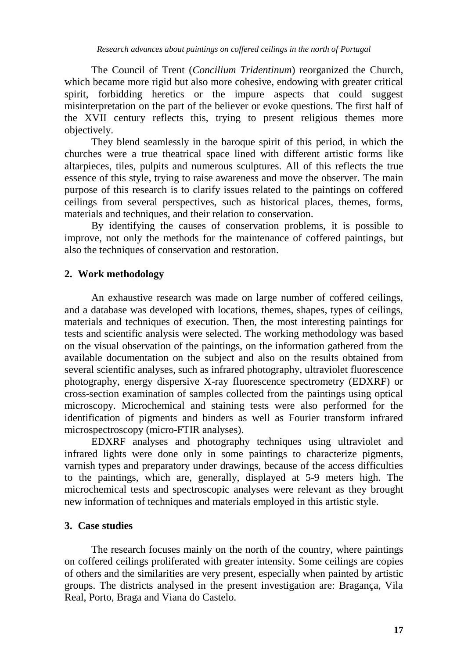The Council of Trent (*Concilium Tridentinum*) reorganized the Church, which became more rigid but also more cohesive, endowing with greater critical spirit, forbidding heretics or the impure aspects that could suggest misinterpretation on the part of the believer or evoke questions. The first half of the XVII century reflects this, trying to present religious themes more objectively.

They blend seamlessly in the baroque spirit of this period, in which the churches were a true theatrical space lined with different artistic forms like altarpieces, tiles, pulpits and numerous sculptures. All of this reflects the true essence of this style, trying to raise awareness and move the observer. The main purpose of this research is to clarify issues related to the paintings on coffered ceilings from several perspectives, such as historical places, themes, forms, materials and techniques, and their relation to conservation.

By identifying the causes of conservation problems, it is possible to improve, not only the methods for the maintenance of coffered paintings, but also the techniques of conservation and restoration.

# **2. Work methodology**

An exhaustive research was made on large number of coffered ceilings, and a database was developed with locations, themes, shapes, types of ceilings, materials and techniques of execution. Then, the most interesting paintings for tests and scientific analysis were selected. The working methodology was based on the visual observation of the paintings, on the information gathered from the available documentation on the subject and also on the results obtained from several scientific analyses, such as infrared photography, ultraviolet fluorescence photography, energy dispersive X-ray fluorescence spectrometry (EDXRF) or cross-section examination of samples collected from the paintings using optical microscopy. Microchemical and staining tests were also performed for the identification of pigments and binders as well as Fourier transform infrared microspectroscopy (micro-FTIR analyses).

EDXRF analyses and photography techniques using ultraviolet and infrared lights were done only in some paintings to characterize pigments, varnish types and preparatory under drawings, because of the access difficulties to the paintings, which are, generally, displayed at 5-9 meters high. The microchemical tests and spectroscopic analyses were relevant as they brought new information of techniques and materials employed in this artistic style.

# **3. Case studies**

The research focuses mainly on the north of the country, where paintings on coffered ceilings proliferated with greater intensity. Some ceilings are copies of others and the similarities are very present, especially when painted by artistic groups. The districts analysed in the present investigation are: Bragança, Vila Real, Porto, Braga and Viana do Castelo.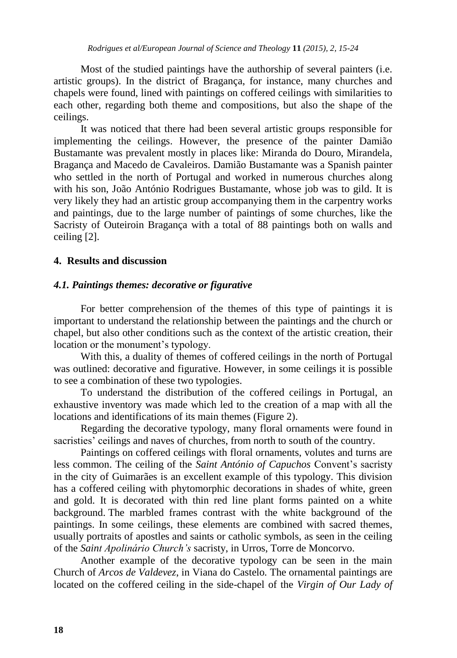Most of the studied paintings have the authorship of several painters (i.e. artistic groups). In the district of Bragança, for instance, many churches and chapels were found, lined with paintings on coffered ceilings with similarities to each other, regarding both theme and compositions, but also the shape of the ceilings.

It was noticed that there had been several artistic groups responsible for implementing the ceilings. However, the presence of the painter Damião Bustamante was prevalent mostly in places like: Miranda do Douro, Mirandela, Bragança and Macedo de Cavaleiros. Damião Bustamante was a Spanish painter who settled in the north of Portugal and worked in numerous churches along with his son, João António Rodrigues Bustamante, whose job was to gild. It is very likely they had an artistic group accompanying them in the carpentry works and paintings, due to the large number of paintings of some churches, like the Sacristy of Outeiroin Bragança with a total of 88 paintings both on walls and ceiling [2].

#### **4. Results and discussion**

# *4.1. Paintings themes: decorative or figurative*

For better comprehension of the themes of this type of paintings it is important to understand the relationship between the paintings and the church or chapel, but also other conditions such as the context of the artistic creation, their location or the monument's typology.

With this, a duality of themes of coffered ceilings in the north of Portugal was outlined: decorative and figurative. However, in some ceilings it is possible to see a combination of these two typologies.

To understand the distribution of the coffered ceilings in Portugal, an exhaustive inventory was made which led to the creation of a map with all the locations and identifications of its main themes (Figure 2).

Regarding the decorative typology, many floral ornaments were found in sacristies' ceilings and naves of churches, from north to south of the country.

Paintings on coffered ceilings with floral ornaments, volutes and turns are less common. The ceiling of the *Saint António of Capuchos* Convent's sacristy in the city of Guimarães is an excellent example of this typology. This division has a coffered ceiling with phytomorphic decorations in shades of white, green and gold. It is decorated with thin red line plant forms painted on a white background. The marbled frames contrast with the white background of the paintings. In some ceilings, these elements are combined with sacred themes, usually portraits of apostles and saints or catholic symbols, as seen in the ceiling of the *Saint Apolinário Church's* sacristy, in Urros, Torre de Moncorvo.

Another example of the decorative typology can be seen in the main Church of *Arcos de Valdevez*, in Viana do Castelo*.* The ornamental paintings are located on the coffered ceiling in the side-chapel of the *Virgin of Our Lady of*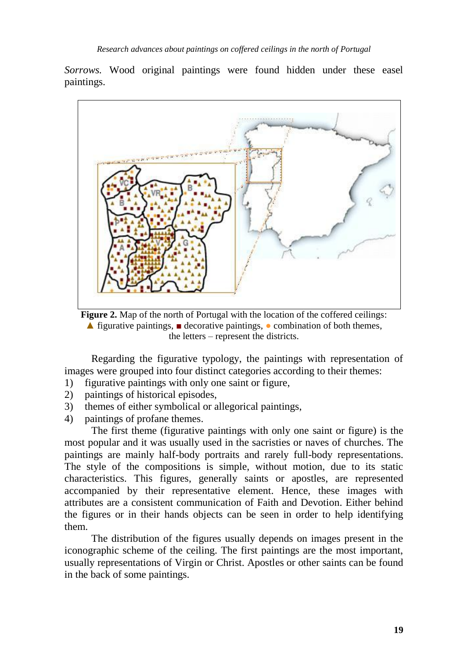*Sorrows.* Wood original paintings were found hidden under these easel paintings.



**Figure 2.** Map of the north of Portugal with the location of the coffered ceilings: **▲** figurative paintings, **■** decorative paintings, **●** combination of both themes, the letters – represent the districts.

Regarding the figurative typology, the paintings with representation of images were grouped into four distinct categories according to their themes:

- 1) figurative paintings with only one saint or figure,
- 2) paintings of historical episodes,
- 3) themes of either symbolical or allegorical paintings,
- 4) paintings of profane themes.

The first theme (figurative paintings with only one saint or figure) is the most popular and it was usually used in the sacristies or naves of churches. The paintings are mainly half-body portraits and rarely full-body representations. The style of the compositions is simple, without motion, due to its static characteristics. This figures, generally saints or apostles, are represented accompanied by their representative element. Hence, these images with attributes are a consistent communication of Faith and Devotion. Either behind the figures or in their hands objects can be seen in order to help identifying them.

The distribution of the figures usually depends on images present in the iconographic scheme of the ceiling. The first paintings are the most important, usually representations of Virgin or Christ. Apostles or other saints can be found in the back of some paintings.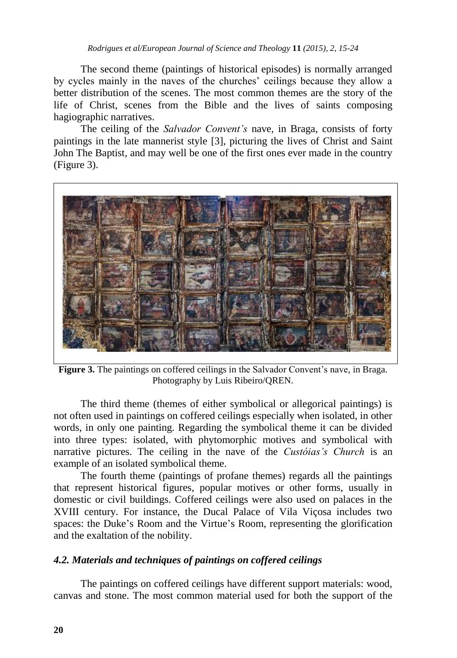The second theme (paintings of historical episodes) is normally arranged by cycles mainly in the naves of the churches' ceilings because they allow a better distribution of the scenes. The most common themes are the story of the life of Christ, scenes from the Bible and the lives of saints composing hagiographic narratives.

The ceiling of the *Salvador Convent's* nave*,* in Braga, consists of forty paintings in the late mannerist style [3], picturing the lives of Christ and Saint John The Baptist, and may well be one of the first ones ever made in the country (Figure 3).



**Figure 3.** The paintings on coffered ceilings in the Salvador Convent's nave*,* in Braga. Photography by Luis Ribeiro/QREN.

The third theme (themes of either symbolical or allegorical paintings) is not often used in paintings on coffered ceilings especially when isolated, in other words, in only one painting. Regarding the symbolical theme it can be divided into three types: isolated, with phytomorphic motives and symbolical with narrative pictures. The ceiling in the nave of the *Custóias's Church* is an example of an isolated symbolical theme.

The fourth theme (paintings of profane themes) regards all the paintings that represent historical figures, popular motives or other forms, usually in domestic or civil buildings. Coffered ceilings were also used on palaces in the XVIII century. For instance, the Ducal Palace of Vila Viçosa includes two spaces: the Duke's Room and the Virtue's Room, representing the glorification and the exaltation of the nobility.

# *4.2. Materials and techniques of paintings on coffered ceilings*

The paintings on coffered ceilings have different support materials: wood, canvas and stone. The most common material used for both the support of the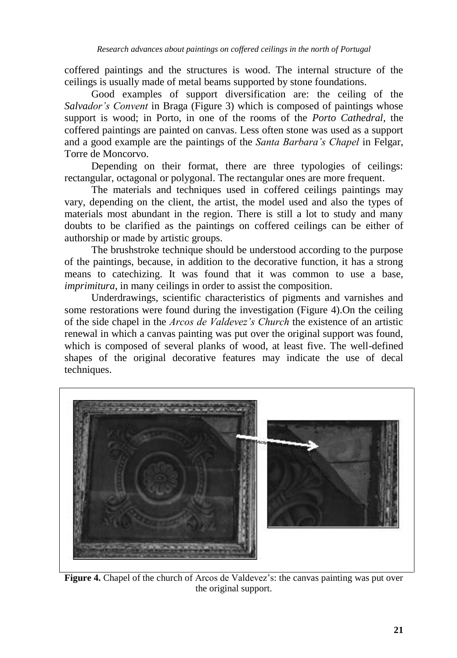coffered paintings and the structures is wood. The internal structure of the ceilings is usually made of metal beams supported by stone foundations.

Good examples of support diversification are: the ceiling of the *Salvador's Convent* in Braga (Figure 3) which is composed of paintings whose support is wood; in Porto, in one of the rooms of the *Porto Cathedral*, the coffered paintings are painted on canvas. Less often stone was used as a support and a good example are the paintings of the *Santa Barbara's Chapel* in Felgar, Torre de Moncorvo.

Depending on their format, there are three typologies of ceilings: rectangular, octagonal or polygonal. The rectangular ones are more frequent.

The materials and techniques used in coffered ceilings paintings may vary, depending on the client, the artist, the model used and also the types of materials most abundant in the region. There is still a lot to study and many doubts to be clarified as the paintings on coffered ceilings can be either of authorship or made by artistic groups.

The brushstroke technique should be understood according to the purpose of the paintings, because, in addition to the decorative function, it has a strong means to catechizing. It was found that it was common to use a base, *imprimitura*, in many ceilings in order to assist the composition.

Underdrawings, scientific characteristics of pigments and varnishes and some restorations were found during the investigation (Figure 4).On the ceiling of the side chapel in the *Arcos de Valdevez's Church* the existence of an artistic renewal in which a canvas painting was put over the original support was found, which is composed of several planks of wood, at least five. The well-defined shapes of the original decorative features may indicate the use of decal techniques.



**Figure 4.** Chapel of the church of Arcos de Valdevez's: the canvas painting was put over the original support.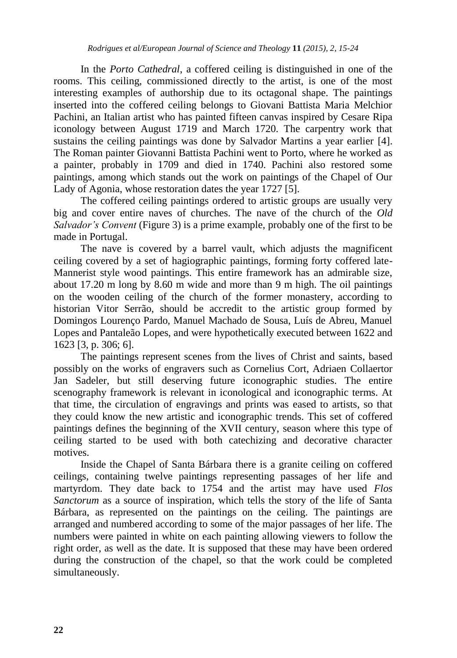In the *Porto Cathedral*, a coffered ceiling is distinguished in one of the rooms. This ceiling, commissioned directly to the artist, is one of the most interesting examples of authorship due to its octagonal shape. The paintings inserted into the coffered ceiling belongs to Giovani Battista Maria Melchior Pachini, an Italian artist who has painted fifteen canvas inspired by Cesare Ripa iconology between August 1719 and March 1720. The carpentry work that sustains the ceiling paintings was done by Salvador Martins a year earlier [4]. The Roman painter Giovanni Battista Pachini went to Porto, where he worked as a painter, probably in 1709 and died in 1740. Pachini also restored some paintings, among which stands out the work on paintings of the Chapel of Our Lady of Agonia, whose restoration dates the year 1727 [5].

The coffered ceiling paintings ordered to artistic groups are usually very big and cover entire naves of churches. The nave of the church of the *Old Salvador's Convent* (Figure 3) is a prime example, probably one of the first to be made in Portugal.

The nave is covered by a barrel vault, which adjusts the magnificent ceiling covered by a set of hagiographic paintings, forming forty coffered late-Mannerist style wood paintings. This entire framework has an admirable size, about 17.20 m long by 8.60 m wide and more than 9 m high. The oil paintings on the wooden ceiling of the church of the former monastery, according to historian Vitor Serrão, should be accredit to the artistic group formed by Domingos Lourenço Pardo, Manuel Machado de Sousa, Luís de Abreu, Manuel Lopes and Pantaleão Lopes, and were hypothetically executed between 1622 and 1623 [3, p. 306; 6].

The paintings represent scenes from the lives of Christ and saints, based possibly on the works of engravers such as Cornelius Cort, Adriaen Collaertor Jan Sadeler, but still deserving future iconographic studies. The entire scenography framework is relevant in iconological and iconographic terms. At that time, the circulation of engravings and prints was eased to artists, so that they could know the new artistic and iconographic trends. This set of coffered paintings defines the beginning of the XVII century, season where this type of ceiling started to be used with both catechizing and decorative character motives.

Inside the Chapel of Santa Bárbara there is a granite ceiling on coffered ceilings, containing twelve paintings representing passages of her life and martyrdom. They date back to 1754 and the artist may have used *Flos Sanctorum* as a source of inspiration, which tells the story of the life of Santa Bárbara, as represented on the paintings on the ceiling. The paintings are arranged and numbered according to some of the major passages of her life. The numbers were painted in white on each painting allowing viewers to follow the right order, as well as the date. It is supposed that these may have been ordered during the construction of the chapel, so that the work could be completed simultaneously.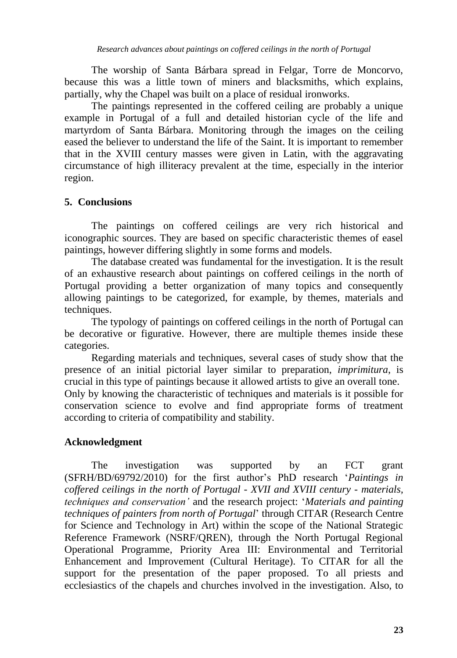The worship of Santa Bárbara spread in Felgar, Torre de Moncorvo, because this was a little town of miners and blacksmiths, which explains, partially, why the Chapel was built on a place of residual ironworks.

The paintings represented in the coffered ceiling are probably a unique example in Portugal of a full and detailed historian cycle of the life and martyrdom of Santa Bárbara. Monitoring through the images on the ceiling eased the believer to understand the life of the Saint. It is important to remember that in the XVIII century masses were given in Latin, with the aggravating circumstance of high illiteracy prevalent at the time, especially in the interior region.

# **5. Conclusions**

The paintings on coffered ceilings are very rich historical and iconographic sources. They are based on specific characteristic themes of easel paintings, however differing slightly in some forms and models.

The database created was fundamental for the investigation. It is the result of an exhaustive research about paintings on coffered ceilings in the north of Portugal providing a better organization of many topics and consequently allowing paintings to be categorized, for example, by themes, materials and techniques.

The typology of paintings on coffered ceilings in the north of Portugal can be decorative or figurative. However, there are multiple themes inside these categories.

Regarding materials and techniques, several cases of study show that the presence of an initial pictorial layer similar to preparation, *imprimitura*, is crucial in this type of paintings because it allowed artists to give an overall tone. Only by knowing the characteristic of techniques and materials is it possible for conservation science to evolve and find appropriate forms of treatment according to criteria of compatibility and stability.

#### **Acknowledgment**

The investigation was supported by an FCT grant (SFRH/BD/69792/2010) for the first author's PhD research '*Paintings in coffered ceilings in the north of Portugal - XVII and XVIII century - materials, techniques and conservation'* and the research project: '*Materials and painting techniques of painters from north of Portugal*' through CITAR (Research Centre for Science and Technology in Art) within the scope of the National Strategic Reference Framework (NSRF/QREN), through the North Portugal Regional Operational Programme, Priority Area III: Environmental and Territorial Enhancement and Improvement (Cultural Heritage). To CITAR for all the support for the presentation of the paper proposed. To all priests and ecclesiastics of the chapels and churches involved in the investigation. Also, to